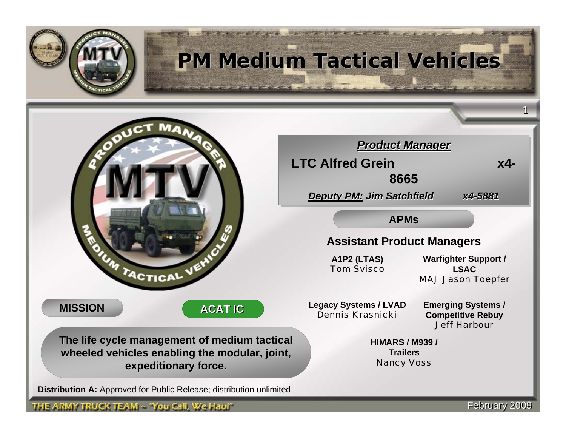

# **PM Medium Tactical Vehicles PM Medium Tactical Vehicles**



**MISSION**

**ACAT IC ACAT IC**

The life cycle management of medium tactical wheeled vehicles enabling the modular, joint, **expeditionary force. expeditionary** 

**Distributi on A:** Approved for Public Release; distribution unlimited

THE ARMY TRUCK TEAM  $\sim$  'You Call, We Haul''

*Product Manager Product Manager Product Manager* **LTC Alfred Grein x4- LTC Alfred Grein x4- 8665 8665***Deputy PM: Jim Satchfield x4-5881 Deputy PM: : Jim Satchfield atchfield x4-5881* **APMs**

## **Assistant Product Managers**

**A1P2 (LTAS)** *Tom Svisco*

**Warfighter Support / LSAC***MAJ Jason Toepfer*

**Legacy Syste ms / LVAD** *Dennis Krasnicki* 

**Emergin g Systems / Competitive R ebuy** *Jeff Harbour*

**HIMARS / M939 /Trailers***Nancy V o s s*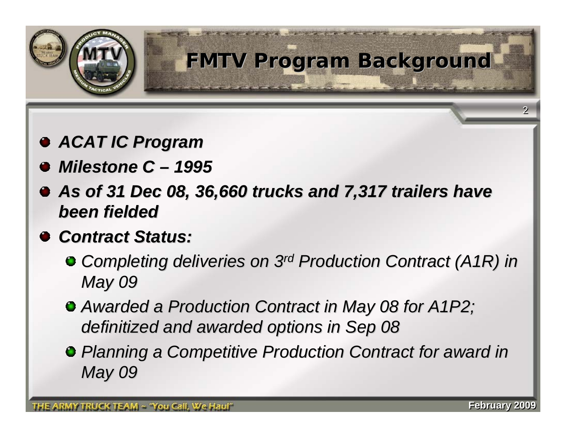

# **FMTV Program Background FMTV Program Background**

- *ACAT IC Program ACAT IC Program*
- *Milestone C Milestone C – 1995*
- *As of 31 Dec 08, 36,660 trucks and 7,317 trailers have As of 31 Dec 08, 36,660 trucks and 7,317 trailers have been fielded been fielded*
- *Contract Status: Contract Status:*
	- <sup>o</sup> Completing deliveries on 3<sup>rd</sup> Production Contract (A1R) in *May 09*
	- **Awarded a Production Contract in May 08 for A1P2;** *definitized and awarded options in Sep 08 definitized and awarded options in Sep 08*
	- **P** Planning a Competitive Production Contract for award in *May 09*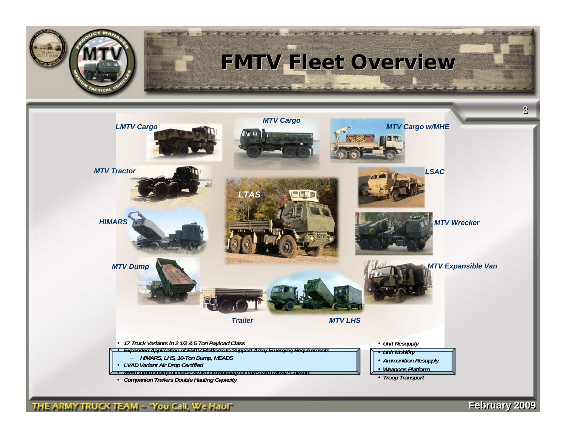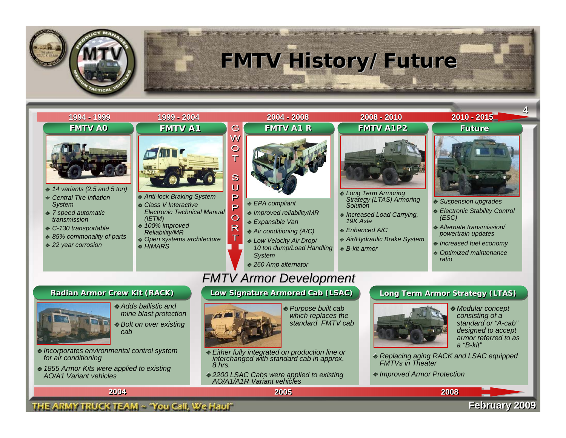

# **FMTV History/Future FMTV History/Future**

the goals provided and provided and the second

## *FMTV A0 FMTV A0***1994 - 1999 1994 - 1999 1999 - 2004 1999 - 2004 2004 - 2008 2008 - 2010 2010 - 2015 2004 - 2008 2008 - 2010 2010 - 2015**



- *14 variants (2.5 and 5 ton)*
- *Central Tire Inflation System*
- *7 speed automatic transmission*
- *C-130 transportable*
- *85% commonality of parts*
- *22 year corrosion*

*for air conditioning*

*AO/A1 Variant vehicles*



- *Anti-lock Braking System*
- *Class V Interactive Electronic Technical Manual (IETM)*
- *100% improved Reliability/MR*
- *Open systems architecture HIMARS*



and the first state of the control of the control of the control of the control of the control of the control of

- *EPA compliant*
- *Improved reliability/MR*
- *Expansible Van*
- *Air conditioning (A/C)*
- *Low Velocity Air Drop/ 10 ton dump/Load Handling System*
- *260 Amp alternator*

## *FMTV Armor Development FMTV Armor Development*

### Radian Armor Crew Kit (RACK) Low Signature Armored Cab (LSAC) Long Term Armor Strategy (LTAS)



W  $\overline{\mathbf{C}}$ т

S Ü  $\mathsf{P}$ P  $\overline{O}$ R T

> *Purpose built cab which replaces the standard FMTV cab*

- *Either fully integrated on production line or interchanged with standard cab in approx. 8 hrs.*
- *2200 LSAC Cabs were applied to existing AO/A1/A1R Variant vehicles*



- *Long Term Armoring Strategy (LTAS) Armoring Solution*
- *Increased Load Carrying, 19K Axle*
- *Enhanced A/C*
- *Air/Hydraulic Brake System*
- *B-kit armor*



44

- *Suspension upgrades*
- *Electronic Stability Control (ESC)*
- *Alternate transmission/ powertrain updates*
- *Increased fuel economy*
- *Optimized maintenance ratio*

the first of the state of the first state of the state of the state of the state of the state of the state of



- *Modular concept consisting of a standard or "A-cab" designed to accept armor referred to as a "B-kit"*
- *Replacing aging RACK and LSAC equipped FMTVs in Theater*
- *Improved Armor Protection*

**2004 2004**

*Incorporates environmental control system* 

*1855 Armor Kits were applied to existing* 

### THE ARMY TRUCK TEAM ~ 'You Call, We Haul''

*cab*

*Adds ballistic and mine blast protection Bolt on over existing* 

### **2005 20052008 2008**

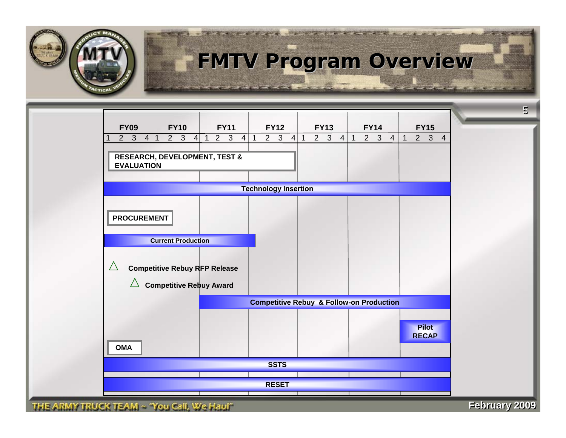

# **FMTV Program Overview FMTV Program Overview**

**CONTRACTOR** CONTRACTOR



THE ARMY TRUCK TEAM ~ 'You Call, We Haul"

**February 2009 February 2009**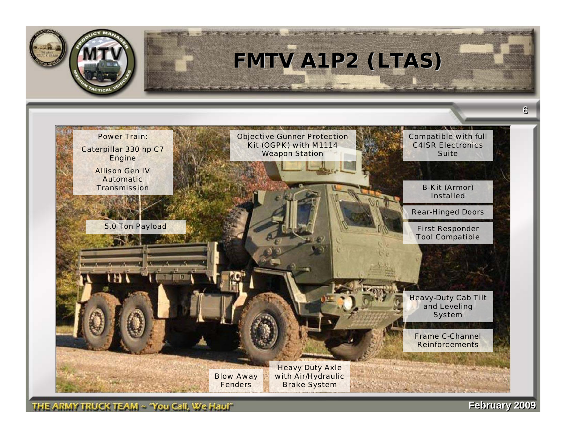

**Februar Februaryy 2009 2009**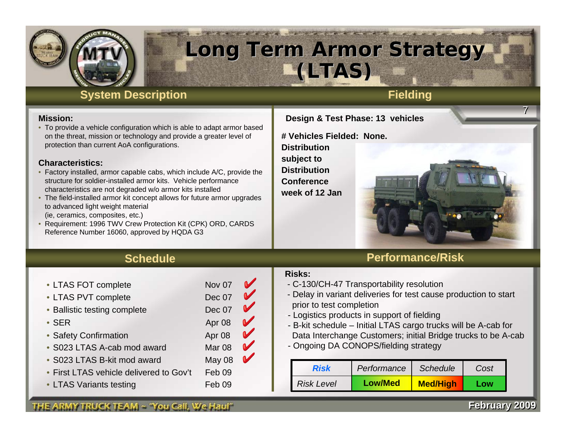

# **Long Term Armor Strategy Long Term Armor Strategy (LTAS) (LTAS)**

## **System Description Fielding**

### **Mission:**

• To provide a vehicle configuration which is able to adapt armor based on the threat, mission or technology and provide a greater level of protection than current AoA configurations.

### **Characteristics:**

- Factory installed, armor capable cabs, which include A/C, provide the structure for soldier-installed armor kits. Vehicle performance characteristics are not degraded w/o armor kits installed
- The field-installed armor kit concept allows for future armor upgrades to advanced light weight material (ie, ceramics, composites, etc.)
- Requirement: 1996 TWV Crew Protection Kit (CPK) ORD, CARDS Reference Number 16060, approved by HQDA G3

### **Design & Test Phase: 13 vehicles**

**# Vehicles Fielded: None.Distribution subject to Distribution Conference week of 12 Jan**

## **Performance/Risk**

### **Risks:**

- C-130/CH-47 Transportability resolution
- Delay in variant deliveries for test cause production to start prior to test completion
- Logistics products in support of fielding
- -- B-kit schedule Initial LTAS cargo trucks will be A-cab for Data Interchange Customers; initial Bridge trucks to be A-cab
- Ongoing DA CONOPS/fielding strategy

| <b>Risk</b>       | Performance    | <b>Schedule</b> | Cost |
|-------------------|----------------|-----------------|------|
| <b>Risk Level</b> | <b>Low/Med</b> | <b>Med/High</b> | Low  |

# **Schedule**

### • LTAS FOT complete Nov 07

- LTAS PVT complete Dec 07
- Ballistic testing complete Dec 07
- SER Apr 08
- Safety Confirmation **Apr 08**
- S023 LTAS A-cab mod award Mar 08
- S023 LTAS B-kit mod award May 08
- First LTAS vehicle delivered to Gov't Feb 09
- 
- V  $\blacktriangledown$  $\mathbf{v}$ 
	-
	- V  $\blacktriangledown$

 $\boldsymbol{\mathscr{C}}$ 

- $\blacktriangledown$
- 

### **February 2009 February 2009**